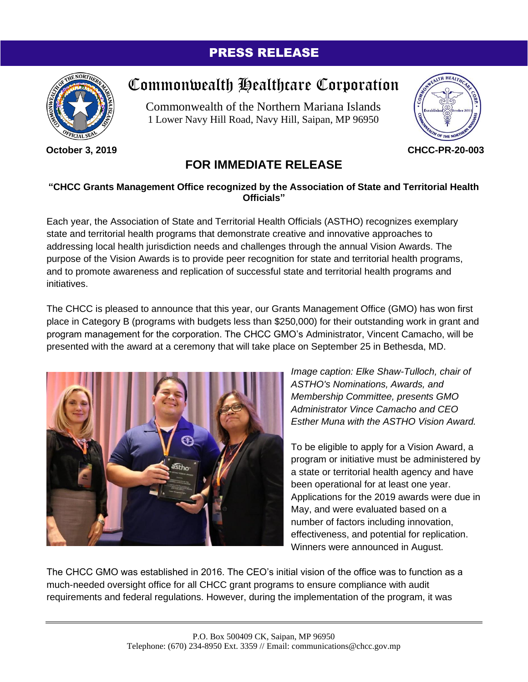## PRESS RELEASE



**October 3, 2019**

## Commonwealth Healthcare Corporation

Commonwealth of the Northern Mariana Islands 1 Lower Navy Hill Road, Navy Hill, Saipan, MP 96950



**CHCC-PR-20-003**

## **FOR IMMEDIATE RELEASE**

## **"CHCC Grants Management Office recognized by the Association of State and Territorial Health Officials"**

Each year, the Association of State and Territorial Health Officials (ASTHO) recognizes exemplary state and territorial health programs that demonstrate creative and innovative approaches to addressing local health jurisdiction needs and challenges through the annual Vision Awards. The purpose of the Vision Awards is to provide peer recognition for state and territorial health programs, and to promote awareness and replication of successful state and territorial health programs and initiatives.

The CHCC is pleased to announce that this year, our Grants Management Office (GMO) has won first place in Category B (programs with budgets less than \$250,000) for their outstanding work in grant and program management for the corporation. The CHCC GMO's Administrator, Vincent Camacho, will be presented with the award at a ceremony that will take place on September 25 in Bethesda, MD.



*Image caption: Elke Shaw-Tulloch, chair of ASTHO's Nominations, Awards, and Membership Committee, presents GMO Administrator Vince Camacho and CEO Esther Muna with the ASTHO Vision Award.*

To be eligible to apply for a Vision Award, a program or initiative must be administered by a state or territorial health agency and have been operational for at least one year. Applications for the 2019 awards were due in May, and were evaluated based on a number of factors including innovation, effectiveness, and potential for replication. Winners were announced in August.

The CHCC GMO was established in 2016. The CEO's initial vision of the office was to function as a much-needed oversight office for all CHCC grant programs to ensure compliance with audit requirements and federal regulations. However, during the implementation of the program, it was